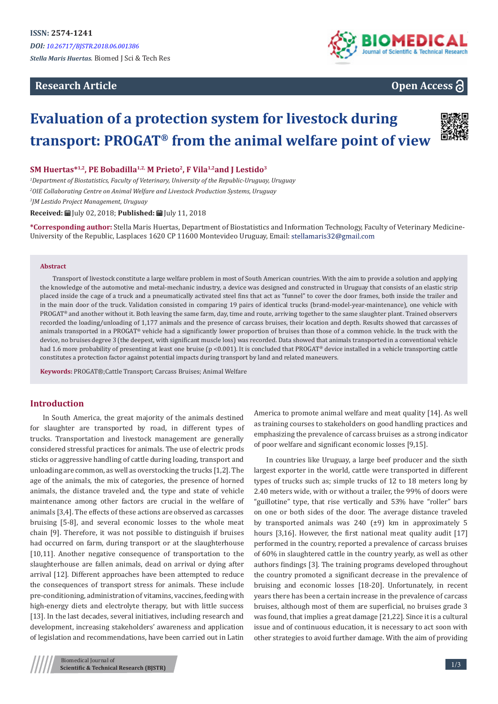## **Research Article**



# **Open Access**

# **Evaluation of a protection system for livestock during transport: PROGAT® from the animal welfare point of view**



#### SM Huertas<sup>\*1,2</sup>, PE Bobadilla<sup>1,2,</sup> M Prieto<sup>2</sup>, F Vila<sup>1,2</sup> and J Lestido<sup>3</sup>

*1 Department of Biostatistics, Faculty of Veterinary, University of the Republic-Uruguay, Uruguay 2 OIE Collaborating Centre on Animal Welfare and Livestock Production Systems, Uruguay 3 JM Lestido Project Management, Uruguay*

**Received:** July 02, 2018; **Published:** July 11, 2018

**\*Corresponding author:** Stella Maris Huertas, Department of Biostatistics and Information Technology, Faculty of Veterinary Medicine-University of the Republic, Lasplaces 1620 CP 11600 Montevideo Uruguay, Email: stellamaris32@gmail.com

#### **Abstract**

Transport of livestock constitute a large welfare problem in most of South American countries. With the aim to provide a solution and applying the knowledge of the automotive and metal-mechanic industry, a device was designed and constructed in Uruguay that consists of an elastic strip placed inside the cage of a truck and a pneumatically activated steel fins that act as "funnel" to cover the door frames, both inside the trailer and in the main door of the truck. Validation consisted in comparing 19 pairs of identical trucks (brand-model-year-maintenance), one vehicle with PROGAT® and another without it. Both leaving the same farm, day, time and route, arriving together to the same slaughter plant. Trained observers recorded the loading/unloading of 1,177 animals and the presence of carcass bruises, their location and depth. Results showed that carcasses of animals transported in a PROGAT® vehicle had a significantly lower proportion of bruises than those of a common vehicle. In the truck with the device, no bruises degree 3 (the deepest, with significant muscle loss) was recorded. Data showed that animals transported in a conventional vehicle had 1.6 more probability of presenting at least one bruise (p <0.001). It is concluded that PROGAT® device installed in a vehicle transporting cattle constitutes a protection factor against potential impacts during transport by land and related maneuvers.

**Keywords:** PROGAT®;Cattle Transport; Carcass Bruises; Animal Welfare

## **Introduction**

In South America, the great majority of the animals destined for slaughter are transported by road, in different types of trucks. Transportation and livestock management are generally considered stressful practices for animals. The use of electric prods sticks or aggressive handling of cattle during loading, transport and unloading are common, as well as overstocking the trucks [1,2]. The age of the animals, the mix of categories, the presence of horned animals, the distance traveled and, the type and state of vehicle maintenance among other factors are crucial in the welfare of animals [3,4]. The effects of these actions are observed as carcasses bruising [5-8], and several economic losses to the whole meat chain [9]. Therefore, it was not possible to distinguish if bruises had occurred on farm, during transport or at the slaughterhouse [10,11]. Another negative consequence of transportation to the slaughterhouse are fallen animals, dead on arrival or dying after arrival [12]. Different approaches have been attempted to reduce the consequences of transport stress for animals. These include pre-conditioning, administration of vitamins, vaccines, feeding with high-energy diets and electrolyte therapy, but with little success [13]. In the last decades, several initiatives, including research and development, increasing stakeholders' awareness and application of legislation and recommendations, have been carried out in Latin

America to promote animal welfare and meat quality [14]. As well as training courses to stakeholders on good handling practices and emphasizing the prevalence of carcass bruises as a strong indicator of poor welfare and significant economic losses [9,15].

In countries like Uruguay, a large beef producer and the sixth largest exporter in the world, cattle were transported in different types of trucks such as; simple trucks of 12 to 18 meters long by 2.40 meters wide, with or without a trailer, the 99% of doors were "guillotine" type, that rise vertically and 53% have "roller" bars on one or both sides of the door. The average distance traveled by transported animals was 240 (±9) km in approximately 5 hours [3,16]. However, the first national meat quality audit [17] performed in the country, reported a prevalence of carcass bruises of 60% in slaughtered cattle in the country yearly, as well as other authors findings [3]. The training programs developed throughout the country promoted a significant decrease in the prevalence of bruising and economic losses [18-20]. Unfortunately, in recent years there has been a certain increase in the prevalence of carcass bruises, although most of them are superficial, no bruises grade 3 was found, that implies a great damage [21,22]. Since it is a cultural issue and of continuous education, it is necessary to act soon with other strategies to avoid further damage. With the aim of providing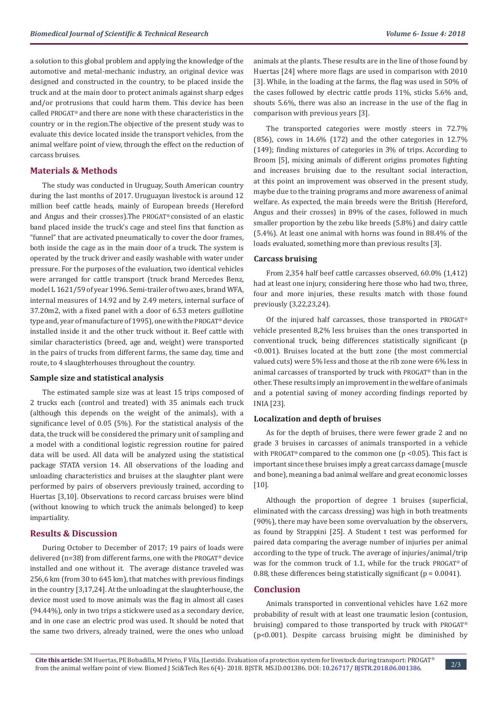a solution to this global problem and applying the knowledge of the automotive and metal-mechanic industry, an original device was designed and constructed in the country, to be placed inside the truck and at the main door to protect animals against sharp edges and/or protrusions that could harm them. This device has been called PROGAT® and there are none with these characteristics in the country or in the region.The objective of the present study was to evaluate this device located inside the transport vehicles, from the animal welfare point of view, through the effect on the reduction of carcass bruises.

## **Materials & Methods**

The study was conducted in Uruguay, South American country during the last months of 2017. Uruguayan livestock is around 12 million beef cattle heads, mainly of European breeds (Hereford and Angus and their crosses).The PROGAT® consisted of an elastic band placed inside the truck's cage and steel fins that function as "funnel" that are activated pneumatically to cover the door frames, both inside the cage as in the main door of a truck. The system is operated by the truck driver and easily washable with water under pressure. For the purposes of the evaluation, two identical vehicles were arranged for cattle transport (truck brand Mercedes Benz, model L 1621/59 of year 1996. Semi-trailer of two axes, brand WFA, internal measures of 14.92 and by 2.49 meters, internal surface of 37.20m2, with a fixed panel with a door of 6.53 meters guillotine type and, year of manufacture of 1995), one with the PROGAT® device installed inside it and the other truck without it. Beef cattle with similar characteristics (breed, age and, weight) were transported in the pairs of trucks from different farms, the same day, time and route, to 4 slaughterhouses throughout the country.

#### **Sample size and statistical analysis**

The estimated sample size was at least 15 trips composed of 2 trucks each (control and treated) with 35 animals each truck (although this depends on the weight of the animals), with a significance level of 0.05 (5%). For the statistical analysis of the data, the truck will be considered the primary unit of sampling and a model with a conditional logistic regression routine for paired data will be used. All data will be analyzed using the statistical package STATA version 14. All observations of the loading and unloading characteristics and bruises at the slaughter plant were performed by pairs of observers previously trained, according to Huertas [3,10]. Observations to record carcass bruises were blind (without knowing to which truck the animals belonged) to keep impartiality.

#### **Results & Discussion**

During October to December of 2017; 19 pairs of loads were delivered (n=38) from different farms, one with the PROGAT® device installed and one without it. The average distance traveled was 256,6 km (from 30 to 645 km), that matches with previous findings in the country [3,17,24]. At the unloading at the slaughterhouse, the device most used to move animals was the flag in almost all cases (94.44%), only in two trips a stickwere used as a secondary device, and in one case an electric prod was used. It should be noted that the same two drivers, already trained, were the ones who unload

animals at the plants. These results are in the line of those found by Huertas [24] where more flags are used in comparison with 2010 [3]. While, in the loading at the farms, the flag was used in 50% of the cases followed by electric cattle prods 11%, sticks 5.6% and, shouts 5.6%, there was also an increase in the use of the flag in comparison with previous years [3].

The transported categories were mostly steers in 72.7% (856), cows in 14.6% (172) and the other categories in 12.7% (149); finding mixtures of categories in 3% of trips. According to Broom [5], mixing animals of different origins promotes fighting and increases bruising due to the resultant social interaction, at this point an improvement was observed in the present study, maybe due to the training programs and more awareness of animal welfare. As expected, the main breeds were the British (Hereford, Angus and their crosses) in 89% of the cases, followed in much smaller proportion by the zebu like breeds (5.8%) and dairy cattle (5.4%). At least one animal with horns was found in 88.4% of the loads evaluated, something more than previous results [3].

#### **Carcass bruising**

From 2,354 half beef cattle carcasses observed, 60.0% (1,412) had at least one injury, considering here those who had two, three, four and more injuries, these results match with those found previously (3,22,23,24).

Of the injured half carcasses, those transported in PROGAT® vehicle presented 8,2% less bruises than the ones transported in conventional truck, being differences statistically significant (p <0.001). Bruises located at the butt zone (the most commercial valued cuts) were 5% less and those at the rib zone were 6% less in animal carcasses of transported by truck with PROGAT® than in the other. These results imply an improvement in the welfare of animals and a potential saving of money according findings reported by INIA [23].

#### **Localization and depth of bruises**

As for the depth of bruises, there were fewer grade 2 and no grade 3 bruises in carcasses of animals transported in a vehicle with PROGAT® compared to the common one ( $p$  <0.05). This fact is important since these bruises imply a great carcass damage (muscle and bone), meaning a bad animal welfare and great economic losses [10].

Although the proportion of degree 1 bruises (superficial, eliminated with the carcass dressing) was high in both treatments (90%), there may have been some overvaluation by the observers, as found by Strappini [25]. A Student t test was performed for paired data comparing the average number of injuries per animal according to the type of truck. The average of injuries/animal/trip was for the common truck of 1.1, while for the truck PROGAT® of 0.88, these differences being statistically significant ( $p = 0.0041$ ).

## **Conclusion**

Animals transported in conventional vehicles have 1.62 more probability of result with at least one traumatic lesion (contusion, bruising) compared to those transported by truck with PROGAT® (p<0.001). Despite carcass bruising might be diminished by